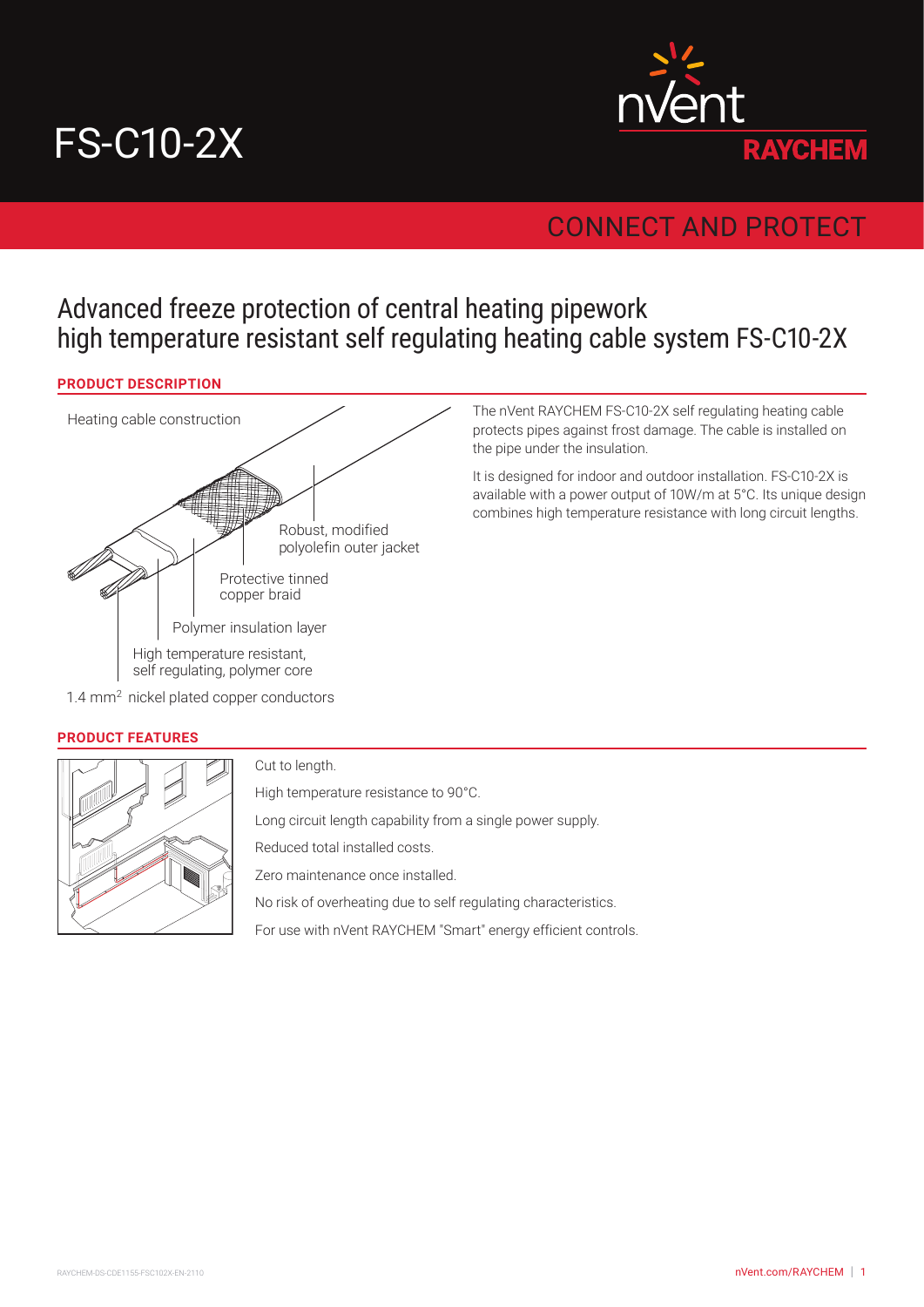# FS-C10-2X



# CONNECT AND PROTECT

# Advanced freeze protection of central heating pipework high temperature resistant self regulating heating cable system FS-C10-2X

## **PRODUCT DESCRIPTION**



The nVent RAYCHEM FS-C10-2X self regulating heating cable protects pipes against frost damage. The cable is installed on the pipe under the insulation.

It is designed for indoor and outdoor installation. FS-C10-2X is available with a power output of 10W/m at 5°C. Its unique design combines high temperature resistance with long circuit lengths.

#### **PRODUCT FEATURES**



Cut to length.

High temperature resistance to 90°C.

Long circuit length capability from a single power supply.

Reduced total installed costs.

Zero maintenance once installed.

No risk of overheating due to self regulating characteristics.

For use with nVent RAYCHEM "Smart" energy efficient controls.